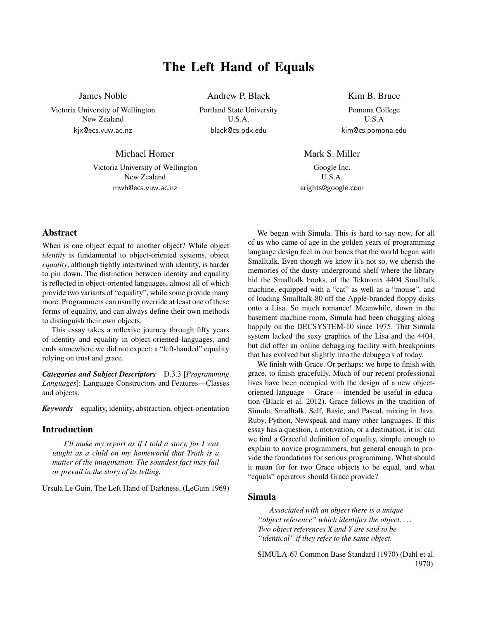# The Left Hand of Equals

James Noble

Victoria University of Wellington New Zealand kjx@ecs.vuw.ac.nz

Andrew P. Black Portland State University U.S.A. black@cs.pdx.edu

Michael Homer

Victoria University of Wellington New Zealand mwh@ecs.vuw.ac.nz

Kim B. Bruce Pomona College U.S.A kim@cs.pomona.edu

Mark S. Miller Google Inc. U.S.A. erights@google.com

# Abstract

When is one object equal to another object? While object *identity* is fundamental to object-oriented systems, object *equality*, although tightly intertwined with identity, is harder to pin down. The distinction between identity and equality is reflected in object-oriented languages, almost all of which provide two variants of "equality", while some provide many more. Programmers can usually override at least one of these forms of equality, and can always define their own methods to distinguish their own objects.

This essay takes a reflexive journey through fifty years of identity and equality in object-oriented languages, and ends somewhere we did not expect: a "left-handed" equality relying on trust and grace.

*Categories and Subject Descriptors* D.3.3 [*Programming Languages*]: Language Constructors and Features—Classes and objects.

*Keywords* equality, identity, abstraction, object-orientation

# Introduction

*I'll make my report as if I told a story, for I was taught as a child on my homeworld that Truth is a matter of the imagination. The soundest fact may fail or prevail in the story of its telling.*

Ursula Le Guin, The Left Hand of Darkness, (LeGuin 1969)

We began with Simula. This is hard to say now, for all of us who came of age in the golden years of programming language design feel in our bones that the world began with Smalltalk. Even though we know it's not so, we cherish the memories of the dusty underground shelf where the library hid the Smalltalk books, of the Tektronix 4404 Smalltalk machine, equipped with a "cat" as well as a "mouse", and of loading Smalltalk-80 off the Apple-branded floppy disks onto a Lisa. So much romance! Meanwhile, down in the basement machine room, Simula had been chugging along happily on the DECSYSTEM-10 since 1975. That Simula system lacked the sexy graphics of the Lisa and the 4404, but did offer an online debugging facility with breakpoints that has evolved but slightly into the debuggers of today.

We finish with Grace. Or perhaps: we hope to finish with grace, to finish gracefully. Much of our recent professional lives have been occupied with the design of a new objectoriented language — Grace — intended be useful in education (Black et al. 2012). Grace follows in the tradition of Simula, Smalltalk, Self, Basic, and Pascal, mixing in Java, Ruby, Python, Newspeak and many other languages. If this essay has a question, a motivation, or a destination, it is: can we find a Graceful definition of equality, simple enough to explain to novice programmers, but general enough to provide the foundations for serious programming. What should it mean for for two Grace objects to be equal, and what "equals" operators should Grace provide?

# Simula

*Associated with an object there is a unique "object reference" which identifies the object. . . . Two object references X and Y are said to be "identical" if they refer to the same object.*

SIMULA-67 Common Base Standard (1970) (Dahl et al. 1970).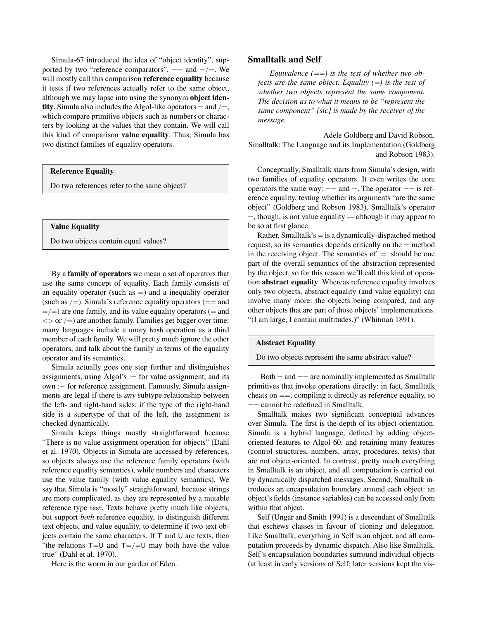Simula-67 introduced the idea of "object identity", supported by two "reference comparators",  $==$  and  $=$ / $=$ . We will mostly call this comparison reference equality because it tests if two references actually refer to the same object, although we may lapse into using the synonym object identity. Simula also includes the Algol-like operators  $=$  and  $/=$ , which compare primitive objects such as numbers or characters by looking at the values that they contain. We will call this kind of comparison value equality. Thus, Simula has two distinct families of equality operators.

## Reference Equality

Do two references refer to the same object?

#### Value Equality

Do two objects contain equal values?

By a **family of operators** we mean a set of operators that use the same concept of equality. Each family consists of an equality operator (such as  $=$ ) and a inequality operator (such as  $/=$ ). Simula's reference equality operators ( $=$  and  $=$   $(=)$  are one family, and its value equality operators ( $=$  and  $\langle \rangle$  or  $\langle \rangle$  are another family. Families get bigger over time: many languages include a unary hash operation as a third member of each family. We will pretty much ignore the other operators, and talk about the family in terms of the equality operator and its semantics.

Simula actually goes one step further and distinguishes assignments, using  $\text{Also} \mathcal{C} = \text{for value assignment}$ , and its own :− for reference assignment. Famously, Simula assignments are legal if there is *any* subtype relationship between the left- and right-hand sides: if the type of the right-hand side is a supertype of that of the left, the assignment is checked dynamically.

Simula keeps things mostly straightforward because "There is no value assignment operation for objects" (Dahl et al. 1970). Objects in Simula are accessed by references, so objects always use the reference family operators (with reference equality semantics), while numbers and characters use the value family (with value equality semantics). We say that Simula is "mostly" straightforward, because strings are more complicated, as they are represented by a mutable reference type text. Texts behave pretty much like objects, but support *both* reference equality, to distinguish different text objects, and value equality, to determine if two text objects contain the same characters. If  $T$  and  $U$  are texts, then "the relations  $T=U$  and  $T=/-U$  may both have the value true" (Dahl et al. 1970).

Here is the worm in our garden of Eden.

## Smalltalk and Self

*Equivalence (*==*) is the test of whether two objects are the same object. Equality (*=*) is the test of whether two objects represent the same component. The decision as to what it means to be "represent the same component" [sic] is made by the receiver of the message.*

Adele Goldberg and David Robson, Smalltalk: The Language and its Implementation (Goldberg and Robson 1983).

Conceptually, Smalltalk starts from Simula's design, with two families of equality operators. It even writes the core operators the same way:  $==$  and  $=$ . The operator  $==$  is reference equality, testing whether its arguments "are the same object" (Goldberg and Robson 1983). Smalltalk's operator  $=$ , though, is not value equality — although it may appear to be so at first glance.

Rather, Smalltalk's  $=$  is a dynamically-dispatched method request, so its semantics depends critically on the = method in the receiving object. The semantics of  $=$  should be one part of the overall semantics of the abstraction represented by the object, so for this reason we'll call this kind of operation abstract equality. Whereas reference equality involves only two objects, abstract equality (and value equality) can involve many more: the objects being compared, and any other objects that are part of those objects' implementations. "(I am large, I contain multitudes.)" (Whitman 1891).

#### Abstract Equality

Do two objects represent the same abstract value?

 $Both = and == are nominally implemented as Smalltalk$ primitives that invoke operations directly: in fact, Smalltalk cheats on  $==$ , compiling it directly as reference equality, so  $==$  cannot be redefined in Smalltalk.

Smalltalk makes two significant conceptual advances over Simula. The first is the depth of its object-orientation. Simula is a hybrid language, defined by adding objectoriented features to Algol 60, and retaining many features (control structures, numbers, array, procedures, texts) that are not object-oriented. In contrast, pretty much everything in Smalltalk is an object, and all computation is carried out by dynamically dispatched messages. Second, Smalltalk introduces an encapsulation boundary around each object: an object's fields (instance variables) can be accessed only from within that object.

Self (Ungar and Smith 1991) is a descendant of Smalltalk that eschews classes in favour of cloning and delegation. Like Smalltalk, everything in Self is an object, and all computation proceeds by dynamic dispatch. Also like Smalltalk, Self's encapsulation boundaries surround individual objects (at least in early versions of Self; later versions kept the vis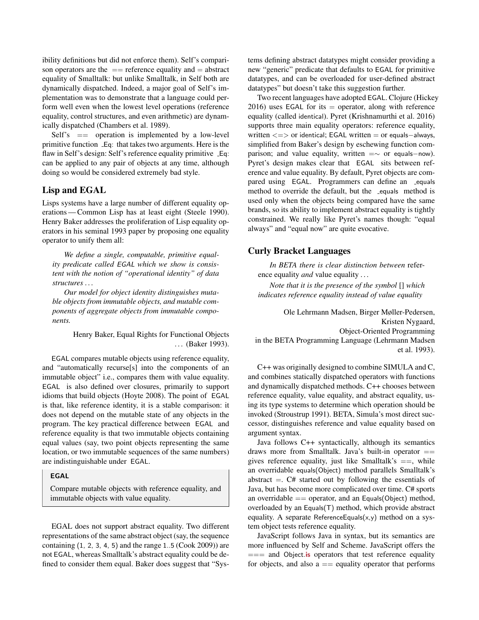ibility definitions but did not enforce them). Self's comparison operators are the  $==$  reference equality and  $=$  abstract equality of Smalltalk: but unlike Smalltalk, in Self both are dynamically dispatched. Indeed, a major goal of Self's implementation was to demonstrate that a language could perform well even when the lowest level operations (reference equality, control structures, and even arithmetic) are dynamically dispatched (Chambers et al. 1989).

Self's  $==$  operation is implemented by a low-level primitive function Eq: that takes two arguments. Here is the flaw in Self's design: Self's reference equality primitive \_Eq: can be applied to any pair of objects at any time, although doing so would be considered extremely bad style.

# Lisp and EGAL

Lisps systems have a large number of different equality operations — Common Lisp has at least eight (Steele 1990). Henry Baker addresses the proliferation of Lisp equality operators in his seminal 1993 paper by proposing one equality operator to unify them all:

*We define a single, computable, primitive equality predicate called* EGAL *which we show is consistent with the notion of "operational identity" of data structures . . .*

*Our model for object identity distinguishes mutable objects from immutable objects, and mutable components of aggregate objects from immutable components.*

> Henry Baker, Equal Rights for Functional Objects . . . (Baker 1993).

EGAL compares mutable objects using reference equality, and "automatically recurse[s] into the components of an immutable object" i.e., compares them with value equality. EGAL is also defined over closures, primarily to support idioms that build objects (Hoyte 2008). The point of EGAL is that, like reference identity, it is a stable comparison: it does not depend on the mutable state of any objects in the program. The key practical difference between EGAL and reference equality is that two immutable objects containing equal values (say, two point objects representing the same location, or two immutable sequences of the same numbers) are indistinguishable under EGAL.

## EGAL

Compare mutable objects with reference equality, and immutable objects with value equality.

EGAL does not support abstract equality. Two different representations of the same abstract object (say, the sequence containing (1, 2, 3, 4, 5) and the range 1..5 (Cook 2009)) are not EGAL, whereas Smalltalk's abstract equality could be defined to consider them equal. Baker does suggest that "Systems defining abstract datatypes might consider providing a new "generic" predicate that defaults to EGAL for primitive datatypes, and can be overloaded for user-defined abstract datatypes" but doesn't take this suggestion further.

Two recent languages have adopted EGAL. Clojure (Hickey  $2016$ ) uses EGAL for its = operator, along with reference equality (called identical). Pyret (Krishnamurthi et al. 2016) supports three main equality operators: reference equality, written <=> or identical; EGAL written = or equals-always, simplified from Baker's design by eschewing function comparison; and value equality, written  $=\sim$  or equals–now). Pyret's design makes clear that EGAL sits between reference and value equality. By default, Pyret objects are compared using EGAL. Programmers can define an equals method to override the default, but the equals method is used only when the objects being compared have the same brands, so its ability to implement abstract equality is tightly constrained. We really like Pyret's names though: "equal always" and "equal now" are quite evocative.

# Curly Bracket Languages

*In BETA there is clear distinction between* reference equality *and* value equality *. . .*

*Note that it is the presence of the symbol* [] *which indicates reference equality instead of value equality*

Ole Lehrmann Madsen, Birger Møller-Pedersen, Kristen Nygaard, Object-Oriented Programming in the BETA Programming Language (Lehrmann Madsen et al. 1993).

C++ was originally designed to combine SIMULA and C, and combines statically dispatched operators with functions and dynamically dispatched methods. C++ chooses between reference equality, value equality, and abstract equality, using its type systems to determine which operation should be invoked (Stroustrup 1991). BETA, Simula's most direct successor, distinguishes reference and value equality based on argument syntax.

Java follows C++ syntactically, although its semantics draws more from Smalltalk. Java's built-in operator  $==$ gives reference equality, just like Smalltalk's  $==$ , while an overridable equals(Object) method parallels Smalltalk's abstract  $=$ . C# started out by following the essentials of Java, but has become more complicated over time. C# sports an overridable  $==$  operator, and an Equals(Object) method, overloaded by an Equals(T) method, which provide abstract equality. A separate ReferenceEquals(x,y) method on a system object tests reference equality.

JavaScript follows Java in syntax, but its semantics are more influenced by Self and Scheme. JavaScript offers the  $==$  and Object.is operators that test reference equality for objects, and also  $a ==$  equality operator that performs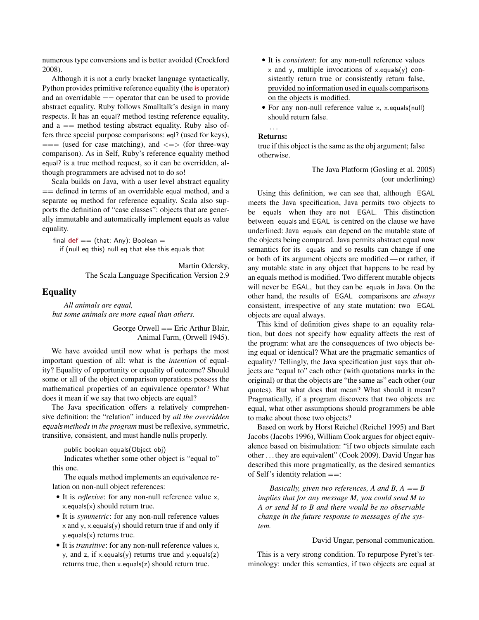numerous type conversions and is better avoided (Crockford 2008).

Although it is not a curly bracket language syntactically, Python provides primitive reference equality (the is operator) and an overridable  $==$  operator that can be used to provide abstract equality. Ruby follows Smalltalk's design in many respects. It has an equal? method testing reference equality, and  $a ==$  method testing abstract equality. Ruby also offers three special purpose comparisons: eql? (used for keys),  $==$  (used for case matching), and  $\le$   $=$   $>$  (for three-way comparison). As in Self, Ruby's reference equality method equal? is a true method request, so it can be overridden, although programmers are advised not to do so!

Scala builds on Java, with a user level abstract equality  $==$  defined in terms of an overridable equal method, and a separate eq method for reference equality. Scala also supports the definition of "case classes": objects that are generally immutable and automatically implement equals as value equality.

final  $\text{def} == (\text{that: Any}):$  Boolean = if (null eq this) null eq that else this equals that

> Martin Odersky, The Scala Language Specification Version 2.9

# Equality

*All animals are equal, but some animals are more equal than others.*

> George Orwell  $==$  Eric Arthur Blair, Animal Farm, (Orwell 1945).

We have avoided until now what is perhaps the most important question of all: what is the *intention* of equality? Equality of opportunity or equality of outcome? Should some or all of the object comparison operations possess the mathematical properties of an equivalence operator? What does it mean if we say that two objects are equal?

The Java specification offers a relatively comprehensive definition: the "relation" induced by *all the overridden* equals *methods in the program* must be reflexive, symmetric, transitive, consistent, and must handle nulls properly.

public boolean equals(Object obj)

Indicates whether some other object is "equal to" this one.

The equals method implements an equivalence relation on non-null object references:

- It is *reflexive*: for any non-null reference value x,  $x.\text{equals}(x)$  should return true.
- It is *symmetric*: for any non-null reference values  $x$  and  $y$ ,  $x$  equals( $y$ ) should return true if and only if y.equals(x) returns true.
- It is *transitive*: for any non-null reference values x, y, and z, if  $x$  equals(y) returns true and y equals(z) returns true, then x.equals(z) should return true.
- It is *consistent*: for any non-null reference values  $x$  and y, multiple invocations of  $x$  equals(y) consistently return true or consistently return false, provided no information used in equals comparisons on the objects is modified.
- For any non-null reference value x, x.equals(null) should return false.

#### Returns:

true if this object is the same as the obj argument; false otherwise.

> The Java Platform (Gosling et al. 2005) (our underlining)

Using this definition, we can see that, although EGAL meets the Java specification, Java permits two objects to be equals when they are not EGAL. This distinction between equals and EGAL is centred on the clause we have underlined: Java equals can depend on the mutable state of the objects being compared. Java permits abstract equal now semantics for its equals and so results can change if one or both of its argument objects are modified — or rather, if any mutable state in any object that happens to be read by an equals method is modified. Two different mutable objects will never be EGAL, but they can be equals in Java. On the other hand, the results of EGAL comparisons are *always* consistent, irrespective of any state mutation: two EGAL objects are equal always.

This kind of definition gives shape to an equality relation, but does not specify how equality affects the rest of the program: what are the consequences of two objects being equal or identical? What are the pragmatic semantics of equality? Tellingly, the Java specification just says that objects are "equal to" each other (with quotations marks in the original) or that the objects are "the same as" each other (our quotes). But what does that mean? What should it mean? Pragmatically, if a program discovers that two objects are equal, what other assumptions should programmers be able to make about those two objects?

Based on work by Horst Reichel (Reichel 1995) and Bart Jacobs (Jacobs 1996), William Cook argues for object equivalence based on bisimulation: "if two objects simulate each other . . . they are equivalent" (Cook 2009). David Ungar has described this more pragmatically, as the desired semantics of Self's identity relation  $==$ :

*Basically, given two references, A and B, A* == *B implies that for any message M, you could send M to A or send M to B and there would be no observable change in the future response to messages of the system.*

#### David Ungar, personal communication.

This is a very strong condition. To repurpose Pyret's terminology: under this semantics, if two objects are equal at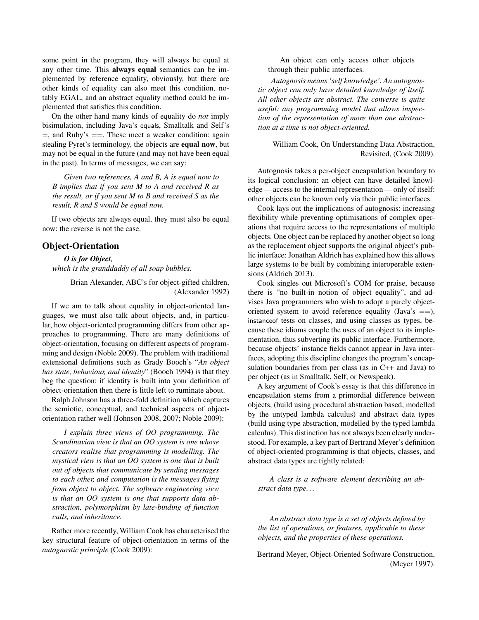some point in the program, they will always be equal at any other time. This always equal semantics can be implemented by reference equality, obviously, but there are other kinds of equality can also meet this condition, notably EGAL, and an abstract equality method could be implemented that satisfies this condition.

On the other hand many kinds of equality do *not* imply bisimulation, including Java's equals, Smalltalk and Self's  $=$ , and Ruby's  $=$ . These meet a weaker condition: again stealing Pyret's terminology, the objects are equal now, but may not be equal in the future (and may not have been equal in the past). In terms of messages, we can say:

*Given two references, A and B, A is equal now to B implies that if you sent M to A and received R as the result, or if you sent M to B and received S as the result, R and S would be equal now.*

If two objects are always equal, they must also be equal now: the reverse is not the case.

# Object-Orientation

#### *O is for Object,*

*which is the granddaddy of all soap bubbles.*

Brian Alexander, ABC's for object-gifted children, (Alexander 1992)

If we am to talk about equality in object-oriented languages, we must also talk about objects, and, in particular, how object-oriented programming differs from other approaches to programming. There are many definitions of object-orientation, focusing on different aspects of programming and design (Noble 2009). The problem with traditional extensional definitions such as Grady Booch's "*An object has state, behaviour, and identity*" (Booch 1994) is that they beg the question: if identity is built into your definition of object-orientation then there is little left to ruminate about.

Ralph Johnson has a three-fold definition which captures the semiotic, conceptual, and technical aspects of objectorientation rather well (Johnson 2008, 2007; Noble 2009):

*I explain three views of OO programming. The Scandinavian view is that an OO system is one whose creators realise that programming is modelling. The mystical view is that an OO system is one that is built out of objects that communicate by sending messages to each other, and computation is the messages flying from object to object. The software engineering view is that an OO system is one that supports data abstraction, polymorphism by late-binding of function calls, and inheritance.*

Rather more recently, William Cook has characterised the key structural feature of object-orientation in terms of the *autognostic principle* (Cook 2009):

An object can only access other objects through their public interfaces.

*Autognosis means 'self knowledge'. An autognostic object can only have detailed knowledge of itself. All other objects are abstract. The converse is quite useful: any programming model that allows inspection of the representation of more than one abstraction at a time is not object-oriented.*

#### William Cook, On Understanding Data Abstraction, Revisited, (Cook 2009).

Autognosis takes a per-object encapsulation boundary to its logical conclusion: an object can have detailed knowledge — access to the internal representation — only of itself: other objects can be known only via their public interfaces.

Cook lays out the implications of autognosis: increasing flexibility while preventing optimisations of complex operations that require access to the representations of multiple objects. One object can be replaced by another object so long as the replacement object supports the original object's public interface: Jonathan Aldrich has explained how this allows large systems to be built by combining interoperable extensions (Aldrich 2013).

Cook singles out Microsoft's COM for praise, because there is "no built-in notion of object equality", and advises Java programmers who wish to adopt a purely objectoriented system to avoid reference equality (Java's  $==$ ), instanceof tests on classes, and using classes as types, because these idioms couple the uses of an object to its implementation, thus subverting its public interface. Furthermore, because objects' instance fields cannot appear in Java interfaces, adopting this discipline changes the program's encapsulation boundaries from per class (as in C++ and Java) to per object (as in Smalltalk, Self, or Newspeak).

A key argument of Cook's essay is that this difference in encapsulation stems from a primordial difference between objects, (build using procedural abstraction based, modelled by the untyped lambda calculus) and abstract data types (build using type abstraction, modelled by the typed lambda calculus). This distinction has not always been clearly understood. For example, a key part of Bertrand Meyer's definition of object-oriented programming is that objects, classes, and abstract data types are tightly related:

*A class is a software element describing an abstract data type. . .*

*An abstract data type is a set of objects defined by the list of operations, or features, applicable to these objects, and the properties of these operations.*

Bertrand Meyer, Object-Oriented Software Construction, (Meyer 1997).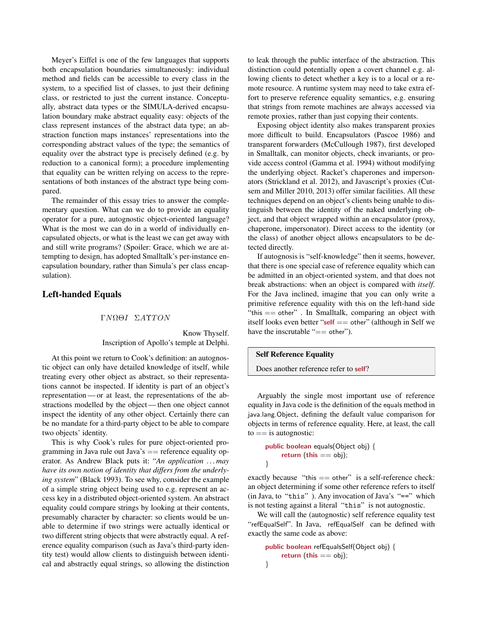Meyer's Eiffel is one of the few languages that supports both encapsulation boundaries simultaneously: individual method and fields can be accessible to every class in the system, to a specified list of classes, to just their defining class, or restricted to just the current instance. Conceptually, abstract data types or the SIMULA-derived encapsulation boundary make abstract equality easy: objects of the class represent instances of the abstract data type; an abstraction function maps instances' representations into the corresponding abstract values of the type; the semantics of equality over the abstract type is precisely defined (e.g. by reduction to a canonical form); a procedure implementing that equality can be written relying on access to the representations of both instances of the abstract type being compared.

The remainder of this essay tries to answer the complementary question. What can we do to provide an equality operator for a pure, autognostic object-oriented language? What is the most we can do in a world of individually encapsulated objects, or what is the least we can get away with and still write programs? (Spoiler: Grace, which we are attempting to design, has adopted Smalltalk's per-instance encapsulation boundary, rather than Simula's per class encapsulation).

# Left-handed Equals

#### ΓΝΩΘΙ ΣΑΥΤΟΝ

Know Thyself. Inscription of Apollo's temple at Delphi.

At this point we return to Cook's definition: an autognostic object can only have detailed knowledge of itself, while treating every other object as abstract, so their representations cannot be inspected. If identity is part of an object's representation — or at least, the representations of the abstractions modelled by the object — then one object cannot inspect the identity of any other object. Certainly there can be no mandate for a third-party object to be able to compare two objects' identity.

This is why Cook's rules for pure object-oriented programming in Java rule out Java's  $==$  reference equality operator. As Andrew Black puts it: "*An application . . . may have its own notion of identity that differs from the underlying system*" (Black 1993). To see why, consider the example of a simple string object being used to e.g. represent an access key in a distributed object-oriented system. An abstract equality could compare strings by looking at their contents, presumably character by character: so clients would be unable to determine if two strings were actually identical or two different string objects that were abstractly equal. A reference equality comparison (such as Java's third-party identity test) would allow clients to distinguish between identical and abstractly equal strings, so allowing the distinction

to leak through the public interface of the abstraction. This distinction could potentially open a covert channel e.g. allowing clients to detect whether a key is to a local or a remote resource. A runtime system may need to take extra effort to preserve reference equality semantics, e.g. ensuring that strings from remote machines are always accessed via remote proxies, rather than just copying their contents.

Exposing object identity also makes transparent proxies more difficult to build. Encapsulators (Pascoe 1986) and transparent forwarders (McCullough 1987), first developed in Smalltalk, can monitor objects, check invariants, or provide access control (Gamma et al. 1994) without modifying the underlying object. Racket's chaperones and impersonators (Strickland et al. 2012), and Javascript's proxies (Cutsem and Miller 2010, 2013) offer similar facilities. All these techniques depend on an object's clients being unable to distinguish between the identity of the naked underlying object, and that object wrapped within an encapsulator (proxy, chaperone, impersonator). Direct access to the identity (or the class) of another object allows encapsulators to be detected directly.

If autognosis is "self-knowledge" then it seems, however, that there is one special case of reference equality which can be admitted in an object-oriented system, and that does not break abstractions: when an object is compared with *itself*. For the Java inclined, imagine that you can only write a primitive reference equality with this on the left-hand side "this == other" . In Smalltalk, comparing an object with itself looks even better "self  $==$  other" (although in Self we have the inscrutable "== other").

#### Self Reference Equality

Does another reference refer to self?

Arguably the single most important use of reference equality in Java code is the definition of the equals method in java.lang.Object, defining the default value comparison for objects in terms of reference equality. Here, at least, the call  $to ==$  is autognostic:

```
public boolean equals(Object obj) {
     return (this == obj);
}
```
exactly because "this  $==$  other" is a self-reference check: an object determining if some other reference refers to itself (in Java, to "this" ). Any invocation of Java's "==" which is not testing against a literal "this" is not autognostic.

We will call the (autognostic) self reference equality test "refEqualSelf". In Java, refEqualSelf can be defined with exactly the same code as above:

```
public boolean refEqualsSelf(Object obj) {
     return (this == obj);
}
```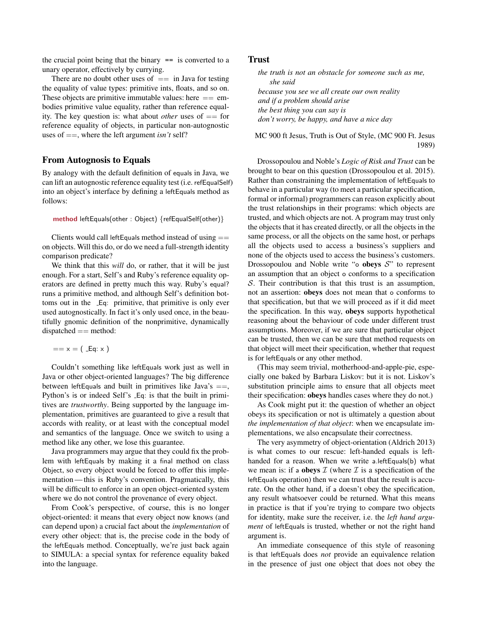the crucial point being that the binary  $=$  is converted to a unary operator, effectively by currying.

There are no doubt other uses of  $=$  in Java for testing the equality of value types: primitive ints, floats, and so on. These objects are primitive immutable values: here  $==$  embodies primitive value equality, rather than reference equality. The key question is: what about *other* uses of == for reference equality of objects, in particular non-autognostic uses of ==, where the left argument *isn't* self?

# From Autognosis to Equals

By analogy with the default definition of equals in Java, we can lift an autognostic reference equality test (i.e. refEqualSelf) into an object's interface by defining a leftEquals method as follows:

```
method leftEquals(other : Object) {refEqualSelf(other)}
```
Clients would call leftEquals method instead of using  $==$ on objects. Will this do, or do we need a full-strength identity comparison predicate?

We think that this *will* do, or rather, that it will be just enough. For a start, Self's and Ruby's reference equality operators are defined in pretty much this way. Ruby's equal? runs a primitive method, and although Self's definition bottoms out in the Eq: primitive, that primitive is only ever used autognostically. In fact it's only used once, in the beautifully gnomic definition of the nonprimitive, dynamically  $dispatched == method:$ 

```
== x = ( \_Eq: x )
```
Couldn't something like leftEquals work just as well in Java or other object-oriented languages? The big difference between leftEquals and built in primitives like Java's  $==$ , Python's is or indeed Self's Eq: is that the built in primitives are *trustworthy*. Being supported by the language implementation, primitives are guaranteed to give a result that accords with reality, or at least with the conceptual model and semantics of the language. Once we switch to using a method like any other, we lose this guarantee.

Java programmers may argue that they could fix the problem with leftEquals by making it a final method on class Object, so every object would be forced to offer this implementation — this is Ruby's convention. Pragmatically, this will be difficult to enforce in an open object-oriented system where we do not control the provenance of every object.

From Cook's perspective, of course, this is no longer object-oriented: it means that every object now knows (and can depend upon) a crucial fact about the *implementation* of every other object: that is, the precise code in the body of the leftEquals method. Conceptually, we're just back again to SIMULA: a special syntax for reference equality baked into the language.

# Trust

*the truth is not an obstacle for someone such as me, she said because you see we all create our own reality and if a problem should arise the best thing you can say is don't worry, be happy, and have a nice day*

MC 900 ft Jesus, Truth is Out of Style, (MC 900 Ft. Jesus 1989)

Drossopoulou and Noble's *Logic of Risk and Trust* can be brought to bear on this question (Drossopoulou et al. 2015). Rather than constraining the implementation of leftEquals to behave in a particular way (to meet a particular specification, formal or informal) programmers can reason explicitly about the trust relationships in their programs: which objects are trusted, and which objects are not. A program may trust only the objects that it has created directly, or all the objects in the same process, or all the objects on the same host, or perhaps all the objects used to access a business's suppliers and none of the objects used to access the business's customers. Drossopoulou and Noble write " $\circ$  obeys  $\mathcal{S}$ " to represent an assumption that an object o conforms to a specification S. Their contribution is that this trust is an assumption, not an assertion: obeys does not mean that o conforms to that specification, but that we will proceed as if it did meet the specification. In this way, obeys supports hypothetical reasoning about the behaviour of code under different trust assumptions. Moreover, if we are sure that particular object can be trusted, then we can be sure that method requests on that object will meet their specification, whether that request is for leftEquals or any other method.

(This may seem trivial, motherhood-and-apple-pie, especially one baked by Barbara Liskov: but it is not. Liskov's substitution principle aims to ensure that all objects meet their specification: obeys handles cases where they do not.)

As Cook might put it: the question of whether an object obeys its specification or not is ultimately a question about *the implementation of that object*: when we encapsulate implementations, we also encapsulate their correctness.

The very asymmetry of object-orientation (Aldrich 2013) is what comes to our rescue: left-handed equals is lefthanded for a reason. When we write a.leftEquals(b) what we mean is: if a **obeys**  $\mathcal I$  (where  $\mathcal I$  is a specification of the leftEquals operation) then we can trust that the result is accurate. On the other hand, if a doesn't obey the specification, any result whatsoever could be returned. What this means in practice is that if you're trying to compare two objects for identity, make sure the receiver, i.e. the *left hand argument* of leftEquals is trusted, whether or not the right hand argument is.

An immediate consequence of this style of reasoning is that leftEquals does *not* provide an equivalence relation in the presence of just one object that does not obey the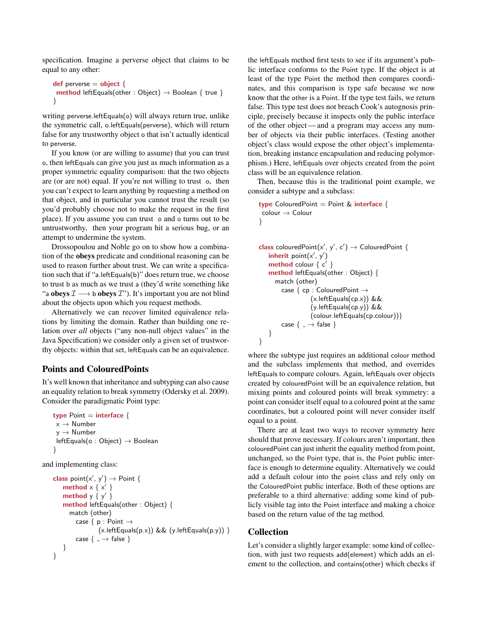specification. Imagine a perverse object that claims to be equal to any other:

```
def perverse = object {
method leftEquals(other : Object) \rightarrow Boolean { true }
}
```
writing perverse.leftEquals(o) will always return true, unlike the symmetric call, o.leftEquals(perverse), which will return false for any trustworthy object o that isn't actually identical to perverse.

If you know (or are willing to assume) that you can trust o, then leftEquals can give you just as much information as a proper symmetric equality comparison: that the two objects are (or are not) equal. If you're not willing to trust o, then you can't expect to learn anything by requesting a method on that object, and in particular you cannot trust the result (so you'd probably choose not to make the request in the first place). If you assume you can trust o and o turns out to be untrustworthy, then your program hit a serious bug, or an attempt to undermine the system.

Drossopoulou and Noble go on to show how a combination of the obeys predicate and conditional reasoning can be used to reason further about trust. We can write a specification such that if "a.leftEquals(b)" does return true, we choose to trust b as much as we trust a (they'd write something like "a obeys  $\mathcal{I} \longrightarrow$  b obeys  $\mathcal{I}$ "). It's important you are not blind about the objects upon which you request methods.

Alternatively we can recover limited equivalence relations by limiting the domain. Rather than building one relation over *all* objects ("any non-null object values" in the Java Specification) we consider only a given set of trustworthy objects: within that set, leftEquals can be an equivalence.

# Points and ColouredPoints

It's well known that inheritance and subtyping can also cause an equality relation to break symmetry (Odersky et al. 2009). Consider the paradigmatic Point type:

```
type Point = interface \{x \rightarrow Number
 y \rightarrow Number
 leftEquals(o : Object) → Boolean
}
```
and implementing class:

```
class point(x', y') \rightarrow Point {
    method x \{ x' \}method y \{ y' \}method leftEquals(other : Object) {
      match (other)
         case \{ p : Point \rightarrow(x.leftEquals(p.x)) && (y.leftEquals(p.y)) }
         case \{ \overline{\ } \rightarrow \overline{\ } false \}}
}
```
the leftEquals method first tests to see if its argument's public interface conforms to the Point type. If the object is at least of the type Point the method then compares coordinates, and this comparison is type safe because we now know that the other is a Point. If the type test fails, we return false. This type test does not breach Cook's autognosis principle, precisely because it inspects only the public interface of the other object — and a program may access any number of objects via their public interfaces. (Testing another object's class would expose the other object's implementation, breaking instance encapsulation and reducing polymorphism.) Here, leftEquals over objects created from the point class will be an equivalence relation.

Then, because this is the traditional point example, we consider a subtype and a subclass:

```
type ColouredPoint = Point & interface {
 \text{colour} \rightarrow \text{Colour}}
```

```
class colouredPoint(x', y', c') \rightarrow ColouredPoint {
   inherit point(x', y')method colour \{ c' \}method leftEquals(other : Object) {
     match (other)
       case { cp : ColouredPoint →
                  (x.leftEquals(cp.x)) &&
                  (y.leftEquals(cp.y)) &&
                  (colour.leftEquals(cp.colour))}
       case \{-\} false \}}
}
```
where the subtype just requires an additional colour method and the subclass implements that method, and overrides leftEquals to compare colours. Again, leftEquals over objects created by colouredPoint will be an equivalence relation, but mixing points and coloured points will break symmetry: a point can consider itself equal to a coloured point at the same coordinates, but a coloured point will never consider itself equal to a point.

There are at least two ways to recover symmetry here should that prove necessary. If colours aren't important, then colouredPoint can just inherit the equality method from point, unchanged, so the Point type, that is, the Point public interface is enough to determine equality. Alternatively we could add a default colour into the point class and rely only on the ColouredPoint public interface. Both of these options are preferable to a third alternative: adding some kind of publicly visible tag into the Point interface and making a choice based on the return value of the tag method.

# Collection

Let's consider a slightly larger example: some kind of collection, with just two requests add(element) which adds an element to the collection, and contains(other) which checks if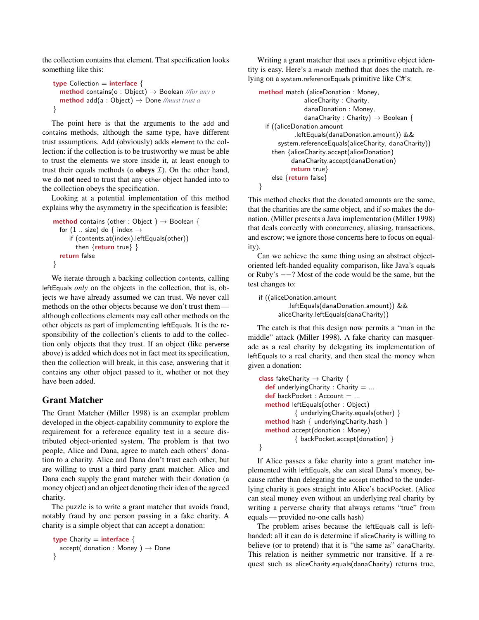the collection contains that element. That specification looks something like this:

```
type Collection = interface {
  method contains(o : Object) → Boolean //for any o
  \mathbf{method} \text{ add}(\mathsf{a}: \text{Object}) \rightarrow \text{Done} //must trust a
}
```
The point here is that the arguments to the add and contains methods, although the same type, have different trust assumptions. Add (obviously) adds element to the collection: if the collection is to be trustworthy we must be able to trust the elements we store inside it, at least enough to trust their equals methods ( $\circ$  obeys  $\mathcal{I}$ ). On the other hand, we do not need to trust that any other object handed into to the collection obeys the specification.

Looking at a potential implementation of this method explains why the asymmetry in the specification is feasible:

```
method contains (other : Object ) \rightarrow Boolean {
  for (1 .. size) do { index \rightarrowif (contents.at(index).leftEquals(other))
        then {return true} }
  return false
}
```
We iterate through a backing collection contents, calling leftEquals *only* on the objects in the collection, that is, objects we have already assumed we can trust. We never call methods on the other objects because we don't trust them although collections elements may call other methods on the other objects as part of implementing leftEquals. It is the responsibility of the collection's clients to add to the collection only objects that they trust. If an object (like perverse above) is added which does not in fact meet its specification, then the collection will break, in this case, answering that it contains any other object passed to it, whether or not they have been added.

# Grant Matcher

The Grant Matcher (Miller 1998) is an exemplar problem developed in the object-capability community to explore the requirement for a reference equality test in a secure distributed object-oriented system. The problem is that two people, Alice and Dana, agree to match each others' donation to a charity. Alice and Dana don't trust each other, but are willing to trust a third party grant matcher. Alice and Dana each supply the grant matcher with their donation (a money object) and an object denoting their idea of the agreed charity.

The puzzle is to write a grant matcher that avoids fraud, notably fraud by one person passing in a fake charity. A charity is a simple object that can accept a donation:

```
type Charity = interface {
  accept( donation : Money ) \rightarrow Done
}
```
Writing a grant matcher that uses a primitive object identity is easy. Here's a match method that does the match, relying on a system.referenceEquals primitive like C#'s:

```
method match (aliceDonation : Money,
              aliceCharity : Charity,
              danaDonation : Money,
              danaCharity : Charity) \rightarrow Boolean {
  if ((aliceDonation.amount
            .leftEquals(danaDonation.amount)) &&
      system.referenceEquals(aliceCharity, danaCharity))
    then {aliceCharity.accept(aliceDonation)
          danaCharity.accept(danaDonation)
          return true}
    else {return false}
}
```
This method checks that the donated amounts are the same, that the charities are the same object, and if so makes the donation. (Miller presents a Java implementation (Miller 1998) that deals correctly with concurrency, aliasing, transactions, and escrow; we ignore those concerns here to focus on equality).

Can we achieve the same thing using an abstract objectoriented left-handed equality comparison, like Java's equals or Ruby's  $==$ ? Most of the code would be the same, but the test changes to:

```
if ((aliceDonation.amount
         .leftEquals(danaDonation.amount)) &&
      aliceCharity.leftEquals(danaCharity))
```
The catch is that this design now permits a "man in the middle" attack (Miller 1998). A fake charity can masquerade as a real charity by delegating its implementation of leftEquals to a real charity, and then steal the money when given a donation:

```
class fakeCharity \rightarrow Charity {
  def underlying Charity : Charity = ...def backPocket : Account = ...method leftEquals(other : Object)
            { underlyingCharity.equals(other) }
  method hash { underlyingCharity.hash }
  method accept(donation : Money)
           { backPocket.accept(donation) }
}
```
If Alice passes a fake charity into a grant matcher implemented with leftEquals, she can steal Dana's money, because rather than delegating the accept method to the underlying charity it goes straight into Alice's backPocket. (Alice can steal money even without an underlying real charity by writing a perverse charity that always returns "true" from equals — provided no-one calls hash)

The problem arises because the leftEquals call is lefthanded: all it can do is determine if aliceCharity is willing to believe (or to pretend) that it is "the same as" danaCharity. This relation is neither symmetric nor transitive. If a request such as aliceCharity.equals(danaCharity) returns true,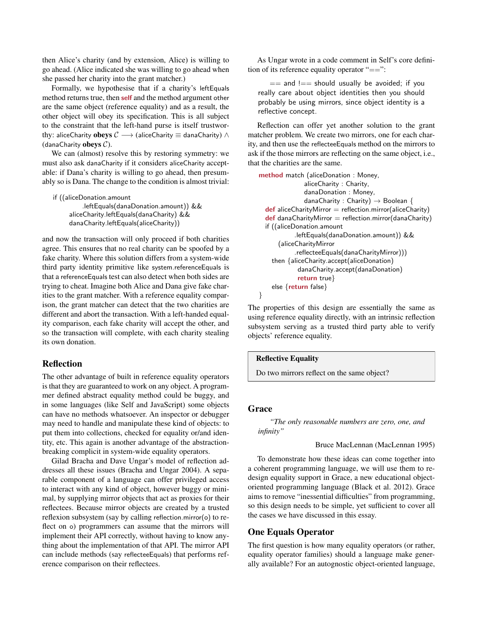then Alice's charity (and by extension, Alice) is willing to go ahead. (Alice indicated she was willing to go ahead when she passed her charity into the grant matcher.)

Formally, we hypothesise that if a charity's leftEquals method returns true, then self and the method argument other are the same object (reference equality) and as a result, the other object will obey its specification. This is all subject to the constraint that the left-hand purse is itself trustworthy: aliceCharity obeys  $C \longrightarrow$  (aliceCharity  $\equiv$  danaCharity)  $\wedge$ (danaCharity obeys C).

We can (almost) resolve this by restoring symmetry: we must also ask danaCharity if it considers aliceCharity acceptable: if Dana's charity is willing to go ahead, then presumably so is Dana. The change to the condition is almost trivial:

if ((aliceDonation.amount .leftEquals(danaDonation.amount)) && aliceCharity.leftEquals(danaCharity) && danaCharity.leftEquals(aliceCharity))

and now the transaction will only proceed if both charities agree. This ensures that no real charity can be spoofed by a fake charity. Where this solution differs from a system-wide third party identity primitive like system.referenceEquals is that a referenceEquals test can also detect when both sides are trying to cheat. Imagine both Alice and Dana give fake charities to the grant matcher. With a reference equality comparison, the grant matcher can detect that the two charities are different and abort the transaction. With a left-handed equality comparison, each fake charity will accept the other, and so the transaction will complete, with each charity stealing its own donation.

# Reflection

The other advantage of built in reference equality operators is that they are guaranteed to work on any object. A programmer defined abstract equality method could be buggy, and in some languages (like Self and JavaScript) some objects can have no methods whatsoever. An inspector or debugger may need to handle and manipulate these kind of objects: to put them into collections, checked for equality or/and identity, etc. This again is another advantage of the abstractionbreaking complicit in system-wide equality operators.

Gilad Bracha and Dave Ungar's model of reflection addresses all these issues (Bracha and Ungar 2004). A separable component of a language can offer privileged access to interact with any kind of object, however buggy or minimal, by supplying mirror objects that act as proxies for their reflectees. Because mirror objects are created by a trusted reflexion subsystem (say by calling reflection.mirror(o) to reflect on o) programmers can assume that the mirrors will implement their API correctly, without having to know anything about the implementation of that API. The mirror API can include methods (say reflecteeEquals) that performs reference comparison on their reflectees.

As Ungar wrote in a code comment in Self's core definition of its reference equality operator "==":

 $==$  and  $!=$  should usually be avoided; if you really care about object identities then you should probably be using mirrors, since object identity is a reflective concept.

Reflection can offer yet another solution to the grant matcher problem. We create two mirrors, one for each charity, and then use the reflecteeEquals method on the mirrors to ask if the those mirrors are reflecting on the same object, i.e., that the charities are the same.

```
method match (aliceDonation : Money,
               aliceCharity : Charity,
               danaDonation : Money,
               danaCharity : Charity) \rightarrow Boolean {
  \text{def} aliceCharityMirror = reflection.mirror(aliceCharity)
  \text{def} danaCharityMirror = reflection.mirror(danaCharity)
  if ((aliceDonation.amount
            .leftEquals(danaDonation.amount)) &&
      (aliceCharityMirror
            .reflecteeEquals(danaCharityMirror)))
    then {aliceCharity.accept(aliceDonation)
             danaCharity.accept(danaDonation)
             return true}
    else {return false}
}
```
The properties of this design are essentially the same as using reference equality directly, with an intrinsic reflection subsystem serving as a trusted third party able to verify objects' reference equality.

#### Reflective Equality

Do two mirrors reflect on the same object?

## **Grace**

*"The only reasonable numbers are zero, one, and infinity"*

#### Bruce MacLennan (MacLennan 1995)

To demonstrate how these ideas can come together into a coherent programming language, we will use them to redesign equality support in Grace, a new educational objectoriented programming language (Black et al. 2012). Grace aims to remove "inessential difficulties" from programming, so this design needs to be simple, yet sufficient to cover all the cases we have discussed in this essay.

### One Equals Operator

The first question is how many equality operators (or rather, equality operator families) should a language make generally available? For an autognostic object-oriented language,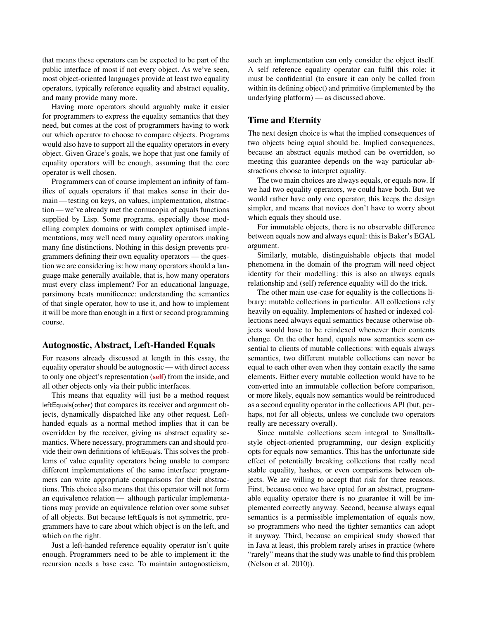that means these operators can be expected to be part of the public interface of most if not every object. As we've seen, most object-oriented languages provide at least two equality operators, typically reference equality and abstract equality, and many provide many more.

Having more operators should arguably make it easier for programmers to express the equality semantics that they need, but comes at the cost of programmers having to work out which operator to choose to compare objects. Programs would also have to support all the equality operators in every object. Given Grace's goals, we hope that just one family of equality operators will be enough, assuming that the core operator is well chosen.

Programmers can of course implement an infinity of families of equals operators if that makes sense in their domain — testing on keys, on values, implementation, abstraction — we've already met the cornucopia of equals functions supplied by Lisp. Some programs, especially those modelling complex domains or with complex optimised implementations, may well need many equality operators making many fine distinctions. Nothing in this design prevents programmers defining their own equality operators — the question we are considering is: how many operators should a language make generally available, that is, how many operators must every class implement? For an educational language, parsimony beats munificence: understanding the semantics of that single operator, how to use it, and how to implement it will be more than enough in a first or second programming course.

## Autognostic, Abstract, Left-Handed Equals

For reasons already discussed at length in this essay, the equality operator should be autognostic— with direct access to only one object's representation (self) from the inside, and all other objects only via their public interfaces.

This means that equality will just be a method request leftEquals(other) that compares its receiver and argument objects, dynamically dispatched like any other request. Lefthanded equals as a normal method implies that it can be overridden by the receiver, giving us abstract equality semantics. Where necessary, programmers can and should provide their own definitions of leftEquals. This solves the problems of value equality operators being unable to compare different implementations of the same interface: programmers can write appropriate comparisons for their abstractions. This choice also means that this operator will not form an equivalence relation — although particular implementations may provide an equivalence relation over some subset of all objects. But because leftEquals is not symmetric, programmers have to care about which object is on the left, and which on the right.

Just a left-handed reference equality operator isn't quite enough. Programmers need to be able to implement it: the recursion needs a base case. To maintain autognosticism,

such an implementation can only consider the object itself. A self reference equality operator can fulfil this role: it must be confidential (to ensure it can only be called from within its defining object) and primitive (implemented by the underlying platform) — as discussed above.

# Time and Eternity

The next design choice is what the implied consequences of two objects being equal should be. Implied consequences, because an abstract equals method can be overridden, so meeting this guarantee depends on the way particular abstractions choose to interpret equality.

The two main choices are always equals, or equals now. If we had two equality operators, we could have both. But we would rather have only one operator; this keeps the design simpler, and means that novices don't have to worry about which equals they should use.

For immutable objects, there is no observable difference between equals now and always equal: this is Baker's EGAL argument.

Similarly, mutable, distinguishable objects that model phenomena in the domain of the program will need object identity for their modelling: this is also an always equals relationship and (self) reference equality will do the trick.

The other main use-case for equality is the collections library: mutable collections in particular. All collections rely heavily on equality. Implementors of hashed or indexed collections need always equal semantics because otherwise objects would have to be reindexed whenever their contents change. On the other hand, equals now semantics seem essential to clients of mutable collections: with equals always semantics, two different mutable collections can never be equal to each other even when they contain exactly the same elements. Either every mutable collection would have to be converted into an immutable collection before comparison, or more likely, equals now semantics would be reintroduced as a second equality operator in the collections API (but, perhaps, not for all objects, unless we conclude two operators really are necessary overall).

Since mutable collections seem integral to Smalltalkstyle object-oriented programming, our design explicitly opts for equals now semantics. This has the unfortunate side effect of potentially breaking collections that really need stable equality, hashes, or even comparisons between objects. We are willing to accept that risk for three reasons. First, because once we have opted for an abstract, programable equality operator there is no guarantee it will be implemented correctly anyway. Second, because always equal semantics is a permissible implementation of equals now, so programmers who need the tighter semantics can adopt it anyway. Third, because an empirical study showed that in Java at least, this problem rarely arises in practice (where "rarely" means that the study was unable to find this problem (Nelson et al. 2010)).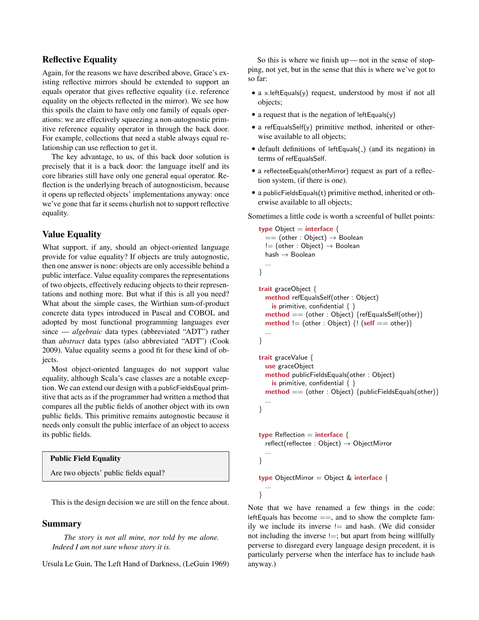# Reflective Equality

Again, for the reasons we have described above, Grace's existing reflective mirrors should be extended to support an equals operator that gives reflective equality (i.e. reference equality on the objects reflected in the mirror). We see how this spoils the claim to have only one family of equals operations: we are effectively squeezing a non-autognostic primitive reference equality operator in through the back door. For example, collections that need a stable always equal relationship can use reflection to get it.

The key advantage, to us, of this back door solution is precisely that it is a back door: the language itself and its core libraries still have only one general equal operator. Reflection is the underlying breach of autognosticism, because it opens up reflected objects' implementations anyway: once we've gone that far it seems churlish not to support reflective equality.

# Value Equality

What support, if any, should an object-oriented language provide for value equality? If objects are truly autognostic, then one answer is none: objects are only accessible behind a public interface. Value equality compares the representations of two objects, effectively reducing objects to their representations and nothing more. But what if this is all you need? What about the simple cases, the Wirthian sum-of-product concrete data types introduced in Pascal and COBOL and adopted by most functional programming languages ever since — *algebraic* data types (abbreviated "ADT") rather than *abstract* data types (also abbreviated "ADT") (Cook 2009). Value equality seems a good fit for these kind of objects.

Most object-oriented languages do not support value equality, although Scala's case classes are a notable exception. We can extend our design with a publicFieldsEqual primitive that acts as if the programmer had written a method that compares all the public fields of another object with its own public fields. This primitive remains autognostic because it needs only consult the public interface of an object to access its public fields.

#### Public Field Equality

Are two objects' public fields equal?

This is the design decision we are still on the fence about.

#### Summary

*The story is not all mine, nor told by me alone. Indeed I am not sure whose story it is.*

Ursula Le Guin, The Left Hand of Darkness, (LeGuin 1969)

So this is where we finish  $up$ —not in the sense of stopping, not yet, but in the sense that this is where we've got to so far:

- a x.leftEquals(y) request, understood by most if not all objects;
- $\bullet$  a request that is the negation of leftEquals(y)
- a refEqualsSelf(y) primitive method, inherited or otherwise available to all objects;
- default definitions of leftEquals( ) (and its negation) in terms of refEqualsSelf.
- a reflecteeEquals(otherMirror) request as part of a reflection system, (if there is one).
- a publicFieldsEquals(t) primitive method, inherited or otherwise available to all objects;

Sometimes a little code is worth a screenful of bullet points:

```
type Object = interface {
  == (other : Object) \rightarrow Boolean
  != (other : Object) \rightarrow Boolean
  hash \rightarrow Boolean
  ...
}
trait graceObject {
  method refEqualsSelf(other : Object)
    is primitive, confidential \{ \}method == (other : Object) {refEqualsSelf(other)}method != (other : Object) \{! \text{ (self == other)}\}...
}
trait graceValue {
  use graceObject
  method publicFieldsEquals(other : Object)
    is primitive, confidential \{ \}method == (other : Object) {publicFieldsEquals(other)}
  ...
}
type Reflection = interface {
  reflect(reflectee : Object) \rightarrow ObjectMirror...
}
type ObjectMirror = Object & interface {
  ...
}
```
Note that we have renamed a few things in the code: leftEquals has become  $==$ , and to show the complete family we include its inverse  $l$  = and hash. (We did consider not including the inverse  $I =$ ; but apart from being willfully perverse to disregard every language design precedent, it is particularly perverse when the interface has to include hash anyway.)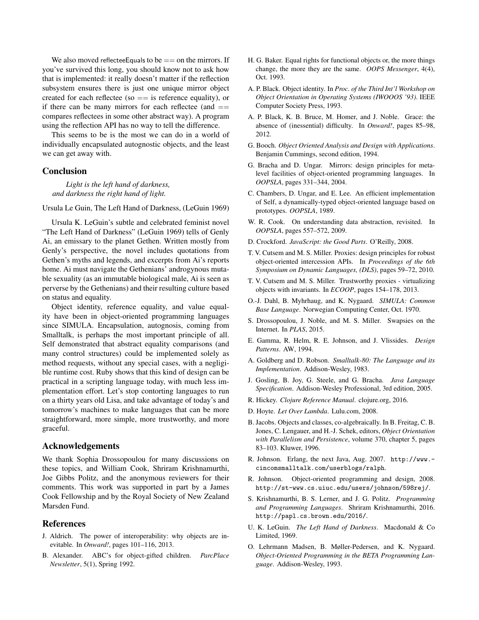We also moved reflectee Equals to be  $==$  on the mirrors. If you've survived this long, you should know not to ask how that is implemented: it really doesn't matter if the reflection subsystem ensures there is just one unique mirror object created for each reflectee (so  $==$  is reference equality), or if there can be many mirrors for each reflectee (and  $==$ compares reflectees in some other abstract way). A program using the reflection API has no way to tell the difference.

This seems to be is the most we can do in a world of individually encapsulated autognostic objects, and the least we can get away with.

# Conclusion

*Light is the left hand of darkness, and darkness the right hand of light.*

Ursula Le Guin, The Left Hand of Darkness, (LeGuin 1969)

Ursula K. LeGuin's subtle and celebrated feminist novel "The Left Hand of Darkness" (LeGuin 1969) tells of Genly Ai, an emissary to the planet Gethen. Written mostly from Genly's perspective, the novel includes quotations from Gethen's myths and legends, and excerpts from Ai's reports home. Ai must navigate the Gethenians' androgynous mutable sexuality (as an immutable biological male, Ai is seen as perverse by the Gethenians) and their resulting culture based on status and equality.

Object identity, reference equality, and value equality have been in object-oriented programming languages since SIMULA. Encapsulation, autognosis, coming from Smalltalk, is perhaps the most important principle of all. Self demonstrated that abstract equality comparisons (and many control structures) could be implemented solely as method requests, without any special cases, with a negligible runtime cost. Ruby shows that this kind of design can be practical in a scripting language today, with much less implementation effort. Let's stop contorting languages to run on a thirty years old Lisa, and take advantage of today's and tomorrow's machines to make languages that can be more straightforward, more simple, more trustworthy, and more graceful.

#### Acknowledgements

We thank Sophia Drossopoulou for many discussions on these topics, and William Cook, Shriram Krishnamurthi, Joe Gibbs Politz, and the anonymous reviewers for their comments. This work was supported in part by a James Cook Fellowship and by the Royal Society of New Zealand Marsden Fund.

## References

- J. Aldrich. The power of interoperability: why objects are inevitable. In *Onward!*, pages 101–116, 2013.
- B. Alexander. ABC's for object-gifted children. *ParcPlace Newsletter*, 5(1), Spring 1992.
- H. G. Baker. Equal rights for functional objects or, the more things change, the more they are the same. *OOPS Messenger*, 4(4), Oct. 1993.
- A. P. Black. Object identity. In *Proc. of the Third Int'l Workshop on Object Orientation in Operating Systems (IWOOOS '93)*. IEEE Computer Society Press, 1993.
- A. P. Black, K. B. Bruce, M. Homer, and J. Noble. Grace: the absence of (inessential) difficulty. In *Onward!*, pages 85–98, 2012.
- G. Booch. *Object Oriented Analysis and Design with Applications*. Benjamin Cummings, second edition, 1994.
- G. Bracha and D. Ungar. Mirrors: design principles for metalevel facilities of object-oriented programming languages. In *OOPSLA*, pages 331–344, 2004.
- C. Chambers, D. Ungar, and E. Lee. An efficient implementation of Self, a dynamically-typed object-oriented language based on prototypes. *OOPSLA*, 1989.
- W. R. Cook. On understanding data abstraction, revisited. In *OOPSLA*, pages 557–572, 2009.
- D. Crockford. *JavaScript: the Good Parts*. O'Reilly, 2008.
- T. V. Cutsem and M. S. Miller. Proxies: design principles for robust object-oriented intercession APIs. In *Proceedings of the 6th Symposium on Dynamic Languages, (DLS)*, pages 59–72, 2010.
- T. V. Cutsem and M. S. Miller. Trustworthy proxies virtualizing objects with invariants. In *ECOOP*, pages 154–178, 2013.
- O.-J. Dahl, B. Myhrhaug, and K. Nygaard. *SIMULA: Common Base Language*. Norwegian Computing Center, Oct. 1970.
- S. Drossopoulou, J. Noble, and M. S. Miller. Swapsies on the Internet. In *PLAS*, 2015.
- E. Gamma, R. Helm, R. E. Johnson, and J. Vlissides. *Design Patterns*. AW, 1994.
- A. Goldberg and D. Robson. *Smalltalk-80: The Language and its Implementation*. Addison-Wesley, 1983.
- J. Gosling, B. Joy, G. Steele, and G. Bracha. *Java Language Specification*. Addison-Wesley Professional, 3rd edition, 2005.
- R. Hickey. *Clojure Reference Manual*. clojure.org, 2016.
- D. Hoyte. *Let Over Lambda*. Lulu.com, 2008.
- B. Jacobs. Objects and classes, co-algebraically. In B. Freitag, C. B. Jones, C. Lengauer, and H.-J. Schek, editors, *Object Orientation with Parallelism and Persistence*, volume 370, chapter 5, pages 83–103. Kluwer, 1996.
- R. Johnson. Erlang, the next Java, Aug. 2007. http://www. cincomsmalltalk.com/userblogs/ralph.
- R. Johnson. Object-oriented programming and design, 2008. http://st-www.cs.uiuc.edu/users/johnson/598rej/.
- S. Krishnamurthi, B. S. Lerner, and J. G. Politz. *Programming and Programming Languages*. Shriram Krishnamurthi, 2016. http://papl.cs.brown.edu/2016/.
- U. K. LeGuin. *The Left Hand of Darkness*. Macdonald & Co Limited, 1969.
- O. Lehrmann Madsen, B. Møller-Pedersen, and K. Nygaard. *Object-Oriented Programming in the BETA Programming Language*. Addison-Wesley, 1993.